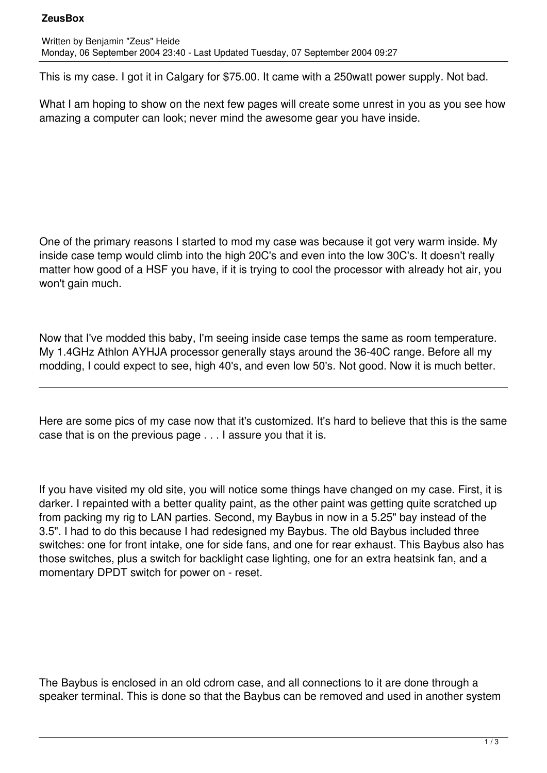## **ZeusBox**

This is my case. I got it in Calgary for \$75.00. It came with a 250watt power supply. Not bad.

What I am hoping to show on the next few pages will create some unrest in you as you see how amazing a computer can look; never mind the awesome gear you have inside.

One of the primary reasons I started to mod my case was because it got very warm inside. My inside case temp would climb into the high 20C's and even into the low 30C's. It doesn't really matter how good of a HSF you have, if it is trying to cool the processor with already hot air, you won't gain much.

Now that I've modded this baby, I'm seeing inside case temps the same as room temperature. My 1.4GHz Athlon AYHJA processor generally stays around the 36-40C range. Before all my modding, I could expect to see, high 40's, and even low 50's. Not good. Now it is much better.

Here are some pics of my case now that it's customized. It's hard to believe that this is the same case that is on the previous page . . . I assure you that it is.

If you have visited my old site, you will notice some things have changed on my case. First, it is darker. I repainted with a better quality paint, as the other paint was getting quite scratched up from packing my rig to LAN parties. Second, my Baybus in now in a 5.25" bay instead of the 3.5". I had to do this because I had redesigned my Baybus. The old Baybus included three switches: one for front intake, one for side fans, and one for rear exhaust. This Baybus also has those switches, plus a switch for backlight case lighting, one for an extra heatsink fan, and a momentary DPDT switch for power on - reset.

The Baybus is enclosed in an old cdrom case, and all connections to it are done through a speaker terminal. This is done so that the Baybus can be removed and used in another system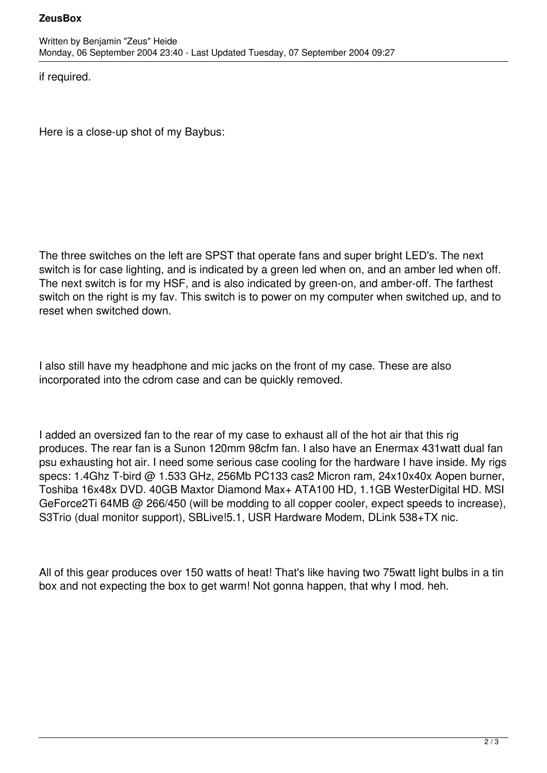## **ZeusBox**

if required.

Here is a close-up shot of my Baybus:

The three switches on the left are SPST that operate fans and super bright LED's. The next switch is for case lighting, and is indicated by a green led when on, and an amber led when off. The next switch is for my HSF, and is also indicated by green-on, and amber-off. The farthest switch on the right is my fav. This switch is to power on my computer when switched up, and to reset when switched down.

I also still have my headphone and mic jacks on the front of my case. These are also incorporated into the cdrom case and can be quickly removed.

I added an oversized fan to the rear of my case to exhaust all of the hot air that this rig produces. The rear fan is a Sunon 120mm 98cfm fan. I also have an Enermax 431watt dual fan psu exhausting hot air. I need some serious case cooling for the hardware I have inside. My rigs specs: 1.4Ghz T-bird @ 1.533 GHz, 256Mb PC133 cas2 Micron ram, 24x10x40x Aopen burner, Toshiba 16x48x DVD. 40GB Maxtor Diamond Max+ ATA100 HD, 1.1GB WesterDigital HD. MSI GeForce2Ti 64MB @ 266/450 (will be modding to all copper cooler, expect speeds to increase), S3Trio (dual monitor support), SBLive!5.1, USR Hardware Modem, DLink 538+TX nic.

All of this gear produces over 150 watts of heat! That's like having two 75watt light bulbs in a tin box and not expecting the box to get warm! Not gonna happen, that why I mod. heh.